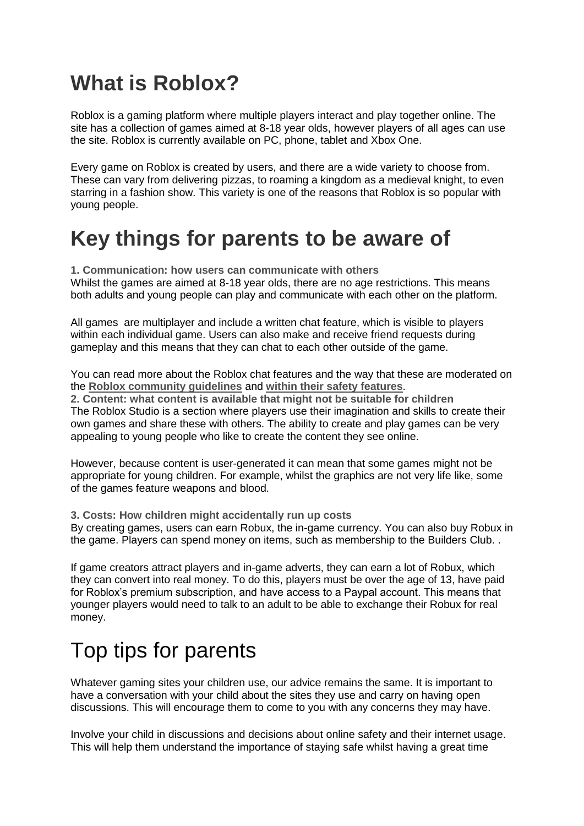# **What is Roblox?**

Roblox is a gaming platform where multiple players interact and play together online. The site has a collection of games aimed at 8-18 year olds, however players of all ages can use the site. Roblox is currently available on PC, phone, tablet and Xbox One.

Every game on Roblox is created by users, and there are a wide variety to choose from. These can vary from delivering pizzas, to roaming a kingdom as a medieval knight, to even starring in a fashion show. This variety is one of the reasons that Roblox is so popular with young people.

# **Key things for parents to be aware of**

**1. Communication: how users can communicate with others** Whilst the games are aimed at 8-18 year olds, there are no age restrictions. This means both adults and young people can play and communicate with each other on the platform.

All games are multiplayer and include a written chat feature, which is visible to players within each individual game. Users can also make and receive friend requests during gameplay and this means that they can chat to each other outside of the game.

You can read more about the Roblox chat features and the way that these are moderated on the **[Roblox community guidelines](https://en.help.roblox.com/hc/en-us/articles/203313410-Roblox-Community-Guidelines-)** and **[within their safety features](https://en.help.roblox.com/hc/en-us/articles/203313120-Safety-Features-Chat-Privacy-Filtering)**. **2. Content: what content is available that might not be suitable for children** The Roblox Studio is a section where players use their imagination and skills to create their own games and share these with others. The ability to create and play games can be very appealing to young people who like to create the content they see online.

However, because content is user-generated it can mean that some games might not be appropriate for young children. For example, whilst the graphics are not very life like, some of the games feature weapons and blood.

**3. Costs: How children might accidentally run up costs**

By creating games, users can earn Robux, the in-game currency. You can also buy Robux in the game. Players can spend money on items, such as membership to the Builders Club. .

If game creators attract players and in-game adverts, they can earn a lot of Robux, which they can convert into real money. To do this, players must be over the age of 13, have paid for Roblox's premium subscription, and have access to a Paypal account. This means that younger players would need to talk to an adult to be able to exchange their Robux for real money.

# Top tips for parents

Whatever gaming sites your children use, our advice remains the same. It is important to have a conversation with your child about the sites they use and carry on having open discussions. This will encourage them to come to you with any concerns they may have.

Involve your child in discussions and decisions about online safety and their internet usage. This will help them understand the importance of staying safe whilst having a great time